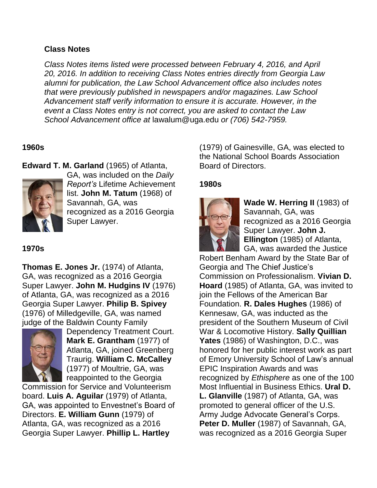## **Class Notes**

*Class Notes items listed were processed between February 4, 2016, and April 20, 2016. In addition to receiving Class Notes entries directly from Georgia Law alumni for publication, the Law School Advancement office also includes notes that were previously published in newspapers and/or magazines. Law School Advancement staff verify information to ensure it is accurate. However, in the event a Class Notes entry is not correct, you are asked to contact the Law School Advancement office at* lawalum@uga.edu *or (706) 542-7959.*

## **1960s**

**Edward T. M. Garland** (1965) of Atlanta,



GA, was included on the *Daily Report's* Lifetime Achievement list. **John M. Tatum** (1968) of Savannah, GA, was recognized as a 2016 Georgia Super Lawyer.

# **1970s**

**Thomas E. Jones Jr.** (1974) of Atlanta, GA, was recognized as a 2016 Georgia Super Lawyer. **John M. Hudgins IV** (1976) of Atlanta, GA, was recognized as a 2016 Georgia Super Lawyer. **Philip B. Spivey** (1976) of Milledgeville, GA, was named judge of the Baldwin County Family



Dependency Treatment Court. **Mark E. Grantham** (1977) of Atlanta, GA, joined Greenberg Traurig. **William C. McCalley**  (1977) of Moultrie, GA, was reappointed to the Georgia

Commission for Service and Volunteerism board. **Luis A. Aguilar** (1979) of Atlanta, GA, was appointed to Envestnet's Board of Directors. **E. William Gunn** (1979) of Atlanta, GA, was recognized as a 2016 Georgia Super Lawyer. **Phillip L. Hartley**

(1979) of Gainesville, GA, was elected to the National School Boards Association Board of Directors.

## **1980s**



**Wade W. Herring II** (1983) of Savannah, GA, was recognized as a 2016 Georgia Super Lawyer. **John J. Ellington** (1985) of Atlanta, GA, was awarded the Justice

Robert Benham Award by the State Bar of Georgia and The Chief Justice's Commission on Professionalism. **Vivian D. Hoard** (1985) of Atlanta, GA, was invited to join the Fellows of the American Bar Foundation. **R. Dales Hughes** (1986) of Kennesaw, GA, was inducted as the president of the Southern Museum of Civil War & Locomotive History. **Sally Quillian Yates** (1986) of Washington, D.C., was honored for her public interest work as part of Emory University School of Law's annual EPIC Inspiration Awards and was recognized by *Ethisphere* as one of the 100 Most Influential in Business Ethics. **Ural D. L. Glanville** (1987) of Atlanta, GA, was promoted to general officer of the U.S. Army Judge Advocate General's Corps. **Peter D. Muller** (1987) of Savannah, GA, was recognized as a 2016 Georgia Super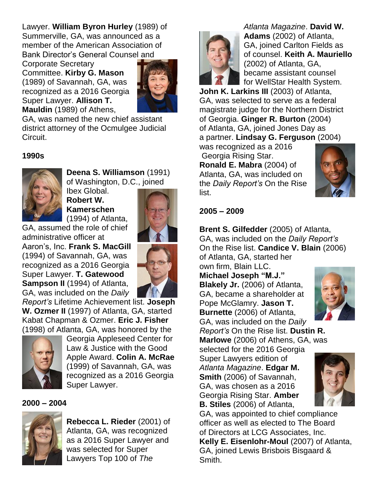Lawyer. **William Byron Hurley** (1989) of Summerville, GA, was announced as a member of the American Association of Bank Director's General Counsel and

Corporate Secretary Committee. **Kirby G. Mason**  (1989) of Savannah, GA, was recognized as a 2016 Georgia Super Lawyer. **Allison T. Mauldin** (1989) of Athens,



GA, was named the new chief assistant district attorney of the Ocmulgee Judicial Circuit.

## **1990s**



**Deena S. Williamson** (1991) of Washington, D.C., joined

Ibex Global. **Robert W. Kamerschen**  (1994) of Atlanta,

GA, assumed the role of chief administrative officer at Aaron's, Inc. **Frank S. MacGill**  (1994) of Savannah, GA, was recognized as a 2016 Georgia Super Lawyer. **T. Gatewood Sampson II** (1994) of Atlanta, GA, was included on the *Daily* 



*Report's* Lifetime Achievement list. **Joseph W. Ozmer II** (1997) of Atlanta, GA, started Kabat Chapman & Ozmer. **Eric J. Fisher** (1998) of Atlanta, GA, was honored by the



Georgia Appleseed Center for Law & Justice with the Good Apple Award. **Colin A. McRae** (1999) of Savannah, GA, was recognized as a 2016 Georgia Super Lawyer.

#### **2000 – 2004**



**Rebecca L. Rieder** (2001) of Atlanta, GA, was recognized as a 2016 Super Lawyer and was selected for Super Lawyers Top 100 of *The*



*Atlanta Magazine*. **David W. Adams** (2002) of Atlanta, GA, joined Carlton Fields as of counsel. **Keith A. Mauriello** (2002) of Atlanta, GA, became assistant counsel for WellStar Health System.

**John K. Larkins III** (2003) of Atlanta, GA, was selected to serve as a federal magistrate judge for the Northern District of Georgia. **Ginger R. Burton** (2004) of Atlanta, GA, joined Jones Day as a partner. **Lindsay G. Ferguson** (2004)

was recognized as a 2016 Georgia Rising Star. **Ronald E. Mabra** (2004) of Atlanta, GA, was included on the *Daily Report's* On the Rise list.



#### **2005 – 2009**

**Brent S. Gilfedder** (2005) of Atlanta, GA, was included on the *Daily Report's* On the Rise list. **Candice V. Blain** (2006)

of Atlanta, GA, started her own firm, Blain LLC.

**Michael Joseph "M.J." Blakely Jr.** (2006) of Atlanta, GA, became a shareholder at Pope McGlamry. **Jason T. Burnette** (2006) of Atlanta, GA, was included on the *Daily* 



*Report's* On the Rise list. **Dustin R. Marlowe** (2006) of Athens, GA, was

selected for the 2016 Georgia Super Lawyers edition of *Atlanta Magazine*. **Edgar M. Smith** (2006) of Savannah, GA, was chosen as a 2016 Georgia Rising Star. **Amber B. Stiles** (2006) of Atlanta,



GA, was appointed to chief compliance officer as well as elected to The Board of Directors at LCG Associates, Inc. **Kelly E. Eisenlohr-Moul** (2007) of Atlanta, GA, joined Lewis Brisbois Bisgaard & Smith.